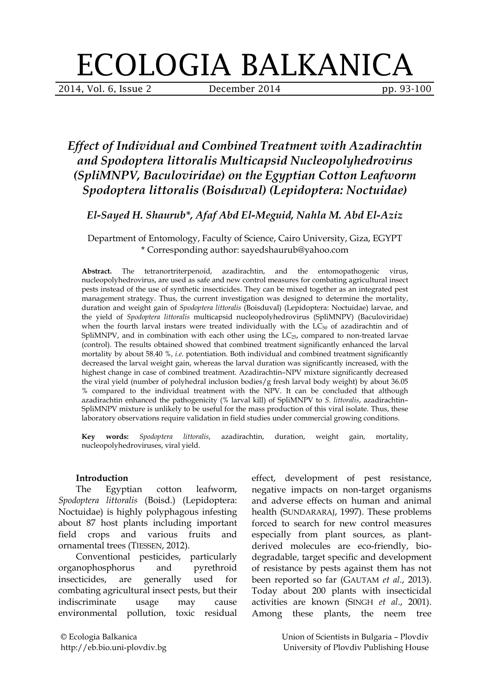# ECOLOGIA BALKANICA

2014, Vol. 6, Issue 2 December 2014 pp. 93-100

# *Effect of Individual and Combined Treatment with Azadirachtin and Spodoptera littoralis Multicapsid Nucleopolyhedrovirus (SpliMNPV, Baculoviridae) on the Egyptian Cotton Leafworm Spodoptera littoralis (Boisduval) (Lepidoptera: Noctuidae)*

## *El-Sayed H. Shaurub\*, Afaf Abd El-Meguid, Nahla M. Abd El-Aziz*

Department of Entomology, Faculty of Science, Cairo University, Giza, EGYPT \* Corresponding author: sayedshaurub@yahoo.com

**Abstract.** The tetranortriterpenoid, azadirachtin, and the entomopathogenic virus, nucleopolyhedrovirus, are used as safe and new control measures for combating agricultural insect pests instead of the use of synthetic insecticides. They can be mixed together as an integrated pest management strategy. Thus, the current investigation was designed to determine the mortality, duration and weight gain of *Spodoptera littoralis* (Boisduval) (Lepidoptera: Noctuidae) larvae, and the yield of *Spodoptera littoralis* multicapsid nucleopolyhedrovirus (SpliMNPV) (Baculoviridae) when the fourth larval instars were treated individually with the  $LC_{50}$  of azadirachtin and of SpliMNPV, and in combination with each other using the  $LC_{25}$ , compared to non-treated larvae (control). The results obtained showed that combined treatment significantly enhanced the larval mortality by about 58.40 %, *i.e*. potentiation. Both individual and combined treatment significantly decreased the larval weight gain, whereas the larval duration was significantly increased, with the highest change in case of combined treatment. Azadirachtin–NPV mixture significantly decreased the viral yield (number of polyhedral inclusion bodies/g fresh larval body weight) by about 36.05 % compared to the individual treatment with the NPV. It can be concluded that although azadirachtin enhanced the pathogenicity (% larval kill) of SpliMNPV to *S. littoralis*, azadirachtin– SpliMNPV mixture is unlikely to be useful for the mass production of this viral isolate. Thus, these laboratory observations require validation in field studies under commercial growing conditions.

**Key words:** *Spodoptera littoralis*, azadirachtin, duration, weight gain, mortality, nucleopolyhedroviruses, viral yield.

#### **Introduction**

The Egyptian cotton leafworm, *Spodoptera littoralis* (Boisd.) (Lepidoptera: Noctuidae) is highly polyphagous infesting about 87 host plants including important field crops and various fruits and ornamental trees (TIESSEN, 2012).

Conventional pesticides, particularly organophosphorus and pyrethroid insecticides, are generally used for combating agricultural insect pests, but their indiscriminate usage may cause environmental pollution, toxic residual

effect, development of pest resistance, negative impacts on non-target organisms and adverse effects on human and animal health (SUNDARARAJ, 1997). These problems forced to search for new control measures especially from plant sources, as plantderived molecules are eco-friendly, biodegradable, target specific and development of resistance by pests against them has not been reported so far (GAUTAM *et al*., 2013). Today about 200 plants with insecticidal activities are known (SINGH *et al*., 2001). Among these plants, the neem tree

© Ecologia Balkanica http://eb.bio.uni-plovdiv.bg Union of Scientists in Bulgaria – Plovdiv University of Plovdiv Publishing House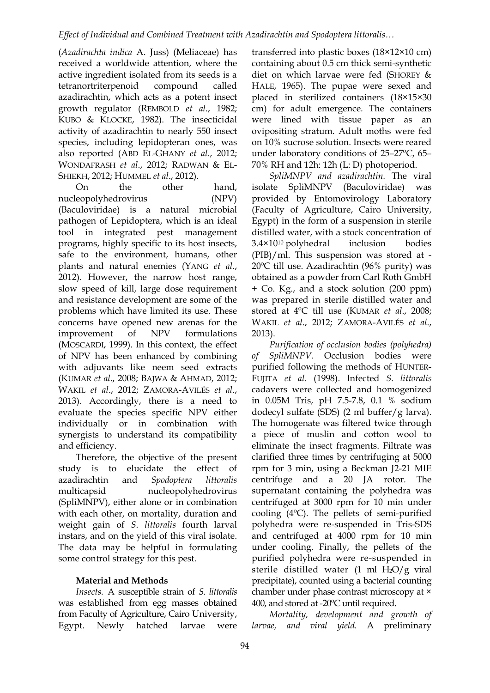(*Azadirachta indica* A. Juss) (Meliaceae) has received a worldwide attention, where the active ingredient isolated from its seeds is a tetranortriterpenoid compound called azadirachtin, which acts as a potent insect growth regulator (REMBOLD *et al*., 1982; KUBO & KLOCKE, 1982). The insecticidal activity of azadirachtin to nearly 550 insect species, including lepidopteran ones, was also reported (ABD EL-GHANY *et al*., 2012; WONDAFRASH *et al*., 2012; RADWAN & EL-SHIEKH, 2012; HUMMEL *et al*., 2012).

On the other hand, nucleopolyhedrovirus (NPV) (Baculoviridae) is a natural microbial pathogen of Lepidoptera, which is an ideal tool in integrated pest management programs, highly specific to its host insects, safe to the environment, humans, other plants and natural enemies (YANG *et al*., 2012). However, the narrow host range, slow speed of kill, large dose requirement and resistance development are some of the problems which have limited its use. These concerns have opened new arenas for the improvement of NPV formulations (MOSCARDI, 1999). In this context, the effect of NPV has been enhanced by combining with adjuvants like neem seed extracts (KUMAR *et al*., 2008; BAJWA & AHMAD, 2012; WAKIL *et al*., 2012; ZAMORA-AVILÉS *et al*., 2013). Accordingly, there is a need to evaluate the species specific NPV either individually or in combination with synergists to understand its compatibility and efficiency.

Therefore, the objective of the present study is to elucidate the effect of azadirachtin and *Spodoptera littoralis* multicapsid nucleopolyhedrovirus (SpliMNPV), either alone or in combination with each other, on mortality, duration and weight gain of *S*. *littoralis* fourth larval instars, and on the yield of this viral isolate. The data may be helpful in formulating some control strategy for this pest.

#### **Material and Methods**

*Insects.* A susceptible strain of *S*. *littoralis* was established from egg masses obtained from Faculty of Agriculture, Cairo University, Egypt. Newly hatched larvae were transferred into plastic boxes (18×12×10 cm) containing about 0.5 cm thick semi-synthetic diet on which larvae were fed (SHOREY & HALE, 1965). The pupae were sexed and placed in sterilized containers (18×15×30 cm) for adult emergence. The containers were lined with tissue paper as an ovipositing stratum. Adult moths were fed on 10% sucrose solution. Insects were reared under laboratory conditions of 25–27ºC, 65– 70% RH and 12h: 12h (L: D) photoperiod.

*SpliMNPV and azadirachtin.* The viral isolate SpliMNPV (Baculoviridae) was provided by Entomovirology Laboratory (Faculty of Agriculture, Cairo University, Egypt) in the form of a suspension in sterile distilled water, with a stock concentration of 3.4×1010 polyhedral inclusion bodies (PIB)/ml. This suspension was stored at - 20ºC till use. Azadirachtin (96% purity) was obtained as a powder from Carl Roth GmbH + Co. Kg., and a stock solution (200 ppm) was prepared in sterile distilled water and stored at 4ºC till use (KUMAR *et al*., 2008; WAKIL *et al*., 2012; ZAMORA-AVILÉS *et al*., 2013).

*Purification of occlusion bodies (polyhedra) of SpliMNPV.* Occlusion bodies were purified following the methods of HUNTER-FUJITA *et al*. (1998). Infected *S. littoralis*  cadavers were collected and homogenized in 0.05M Tris, pH 7.5-7.8, 0.1 % sodium dodecyl sulfate (SDS) (2 ml buffer/g larva). The homogenate was filtered twice through a piece of muslin and cotton wool to eliminate the insect fragments. Filtrate was clarified three times by centrifuging at 5000 rpm for 3 min, using a Beckman J2-21 MIE centrifuge and a 20 JA rotor. The supernatant containing the polyhedra was centrifuged at 3000 rpm for 10 min under cooling (4ºC). The pellets of semi-purified polyhedra were re-suspended in Tris-SDS and centrifuged at 4000 rpm for 10 min under cooling. Finally, the pellets of the purified polyhedra were re-suspended in sterile distilled water  $(1 \text{ ml } H_2O/g \text{ viral})$ precipitate), counted using a bacterial counting chamber under phase contrast microscopy at × 400, and stored at -20ºC until required.

*Mortality, development and growth of larvae, and viral yield.* A preliminary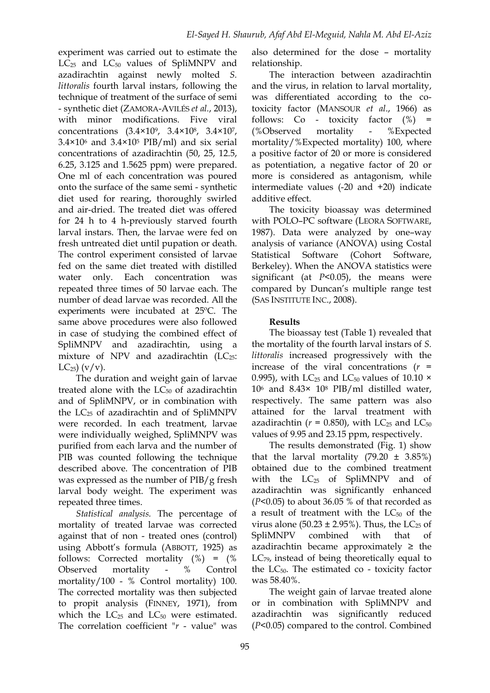experiment was carried out to estimate the  $LC_{25}$  and  $LC_{50}$  values of SpliMNPV and azadirachtin against newly molted *S. littoralis* fourth larval instars, following the technique of treatment of the surface of semi - synthetic diet (ZAMORA-AVILÉS *et al.*, 2013), with minor modifications. Five viral concentrations (3.4×10<sup>9</sup>, 3.4×10<sup>8</sup>, 3.4×10<sup>7</sup>,  $3.4\times10^6$  and  $3.4\times10^5$  PIB/ml) and six serial concentrations of azadirachtin (50, 25, 12.5, 6.25, 3.125 and 1.5625 ppm) were prepared. One ml of each concentration was poured onto the surface of the same semi - synthetic diet used for rearing, thoroughly swirled and air-dried. The treated diet was offered for 24 h to 4 h-previously starved fourth larval instars. Then, the larvae were fed on fresh untreated diet until pupation or death. The control experiment consisted of larvae fed on the same diet treated with distilled water only. Each concentration was repeated three times of 50 larvae each. The number of dead larvae was recorded. All the experiments were incubated at 25ºC. The same above procedures were also followed in case of studying the combined effect of SpliMNPV and azadirachtin, using a mixture of NPV and azadirachtin  $(LC_{25}:$  $LC_{25}$  $(v/v)$ .

The duration and weight gain of larvae treated alone with the  $LC_{50}$  of azadirachtin and of SpliMNPV, or in combination with the LC25 of azadirachtin and of SpliMNPV were recorded. In each treatment, larvae were individually weighed, SpliMNPV was purified from each larva and the number of PIB was counted following the technique described above. The concentration of PIB was expressed as the number of PIB/g fresh larval body weight. The experiment was repeated three times.

*Statistical analysis.* The percentage of mortality of treated larvae was corrected against that of non - treated ones (control) using Abbott's formula (ABBOTT, 1925) as follows: Corrected mortality (%) = (% Observed mortality - % Control mortality/100 - % Control mortality) 100. The corrected mortality was then subjected to propit analysis (FINNEY, 1971), from which the  $LC_{25}$  and  $LC_{50}$  were estimated. The correlation coefficient "*r* - value" was also determined for the dose – mortality relationship.

The interaction between azadirachtin and the virus, in relation to larval mortality, was differentiated according to the cotoxicity factor (MANSOUR *et al*., 1966) as follows: Co - toxicity factor  $(\%)$  = (%Observed mortality - %Expected mortality/%Expected mortality) 100, where a positive factor of 20 or more is considered as potentiation, a negative factor of 20 or more is considered as antagonism, while intermediate values (-20 and +20) indicate additive effect.

The toxicity bioassay was determined with POLO–PC software (LEORA SOFTWARE, 1987). Data were analyzed by one–way analysis of variance (ANOVA) using Costal Statistical Software (Cohort Software, Berkeley). When the ANOVA statistics were significant (at *P*<0.05), the means were compared by Duncan's multiple range test (SAS INSTITUTE INC., 2008).

### **Results**

The bioassay test (Table 1) revealed that the mortality of the fourth larval instars of *S. littoralis* increased progressively with the increase of the viral concentrations  $(r =$ 0.995), with LC<sub>25</sub> and LC<sub>50</sub> values of 10.10  $\times$ 106 and 8.43× 108 PIB/ml distilled water, respectively. The same pattern was also attained for the larval treatment with azadirachtin ( $r = 0.850$ ), with LC<sub>25</sub> and LC<sub>50</sub> values of 9.95 and 23.15 ppm, respectively.

The results demonstrated (Fig. 1) show that the larval mortality  $(79.20 \pm 3.85\%)$ obtained due to the combined treatment with the LC25 of SpliMNPV and of azadirachtin was significantly enhanced (*P*<0.05) to about 36.05 % of that recorded as a result of treatment with the  $LC_{50}$  of the virus alone (50.23  $\pm$  2.95%). Thus, the LC<sub>25</sub> of SpliMNPV combined with that of azadirachtin became approximately  $\geq$  the LC79, instead of being theoretically equal to the  $LC_{50}$ . The estimated co - toxicity factor was 58.40%.

The weight gain of larvae treated alone or in combination with SpliMNPV and azadirachtin was significantly reduced (*P*<0.05) compared to the control. Combined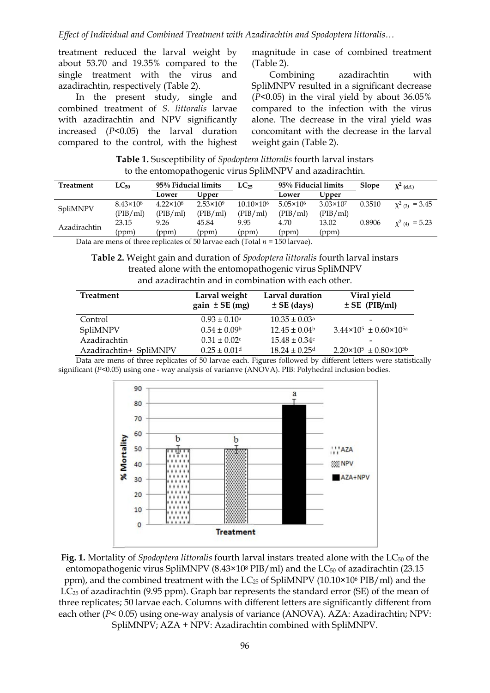treatment reduced the larval weight by about 53.70 and 19.35% compared to the single treatment with the virus and azadirachtin, respectively (Table 2).

In the present study, single and combined treatment of *S. littoralis* larvae with azadirachtin and NPV significantly increased (*P*<0.05) the larval duration compared to the control, with the highest

magnitude in case of combined treatment (Table 2).

Combining azadirachtin with SpliMNPV resulted in a significant decrease (*P*<0.05) in the viral yield by about 36.05% compared to the infection with the virus alone. The decrease in the viral yield was concomitant with the decrease in the larval weight gain (Table 2).

**Table 1.** Susceptibility of *Spodoptera littoralis* fourth larval instars to the entomopathogenic virus SpliMNPV and azadirachtin.

| <b>Treatment</b>                                                             | $LC_{50}$          | 95% Fiducial limits |                    | $LC_{25}$           | 95% Fiducial limits |                      | <b>Slope</b> | $\chi^2$ (d.f.)     |
|------------------------------------------------------------------------------|--------------------|---------------------|--------------------|---------------------|---------------------|----------------------|--------------|---------------------|
|                                                                              |                    | Lower               | Upper              |                     | Lower               | Upper                |              |                     |
| SpliMNPV                                                                     | $8.43 \times 10^8$ | $4.22 \times 10^8$  | $2.53 \times 10^9$ | $10.10\times10^{6}$ | $5.05 \times 10^6$  | $3.03 \times 10^{7}$ | 0.3510       | $\chi^2$ (3) = 3.45 |
|                                                                              | (PIB/ml)           | (PIB/ml)            | (PIB/ml)           | (PIB/ml)            | (PIB/ml)            | (PIB/ml)             |              |                     |
| Azadirachtin                                                                 | 23.15              | 9.26                | 45.84              | 9.95                | 4.70                | 13.02                | 0.8906       | $\chi^2$ (4) = 5.23 |
|                                                                              | (ppm)              | (ppm)               | (ppm)              | (ppm)               | (ppm)               | (ppm)                |              |                     |
| Data are mens of three replicates of 50 laryer each (Total $u = 150$ laryer) |                    |                     |                    |                     |                     |                      |              |                     |

Data are mens of three replicates of 50 larvae each (Total *n* = 150 larvae).

**Table 2.** Weight gain and duration of *Spodoptera littoralis* fourth larval instars treated alone with the entomopathogenic virus SpliMNPV and azadirachtin and in combination with each other.

| <b>Treatment</b>       | Larval weight<br>$gain \pm SE(mg)$ | Larval duration<br>$\pm$ SE (days) | Viral yield<br>$\pm$ SE (PIB/ml)           |
|------------------------|------------------------------------|------------------------------------|--------------------------------------------|
| Control                | $0.93 \pm 0.10^a$                  | $10.35 \pm 0.03$ <sup>a</sup>      | -                                          |
| SpliMNPV               | $0.54 \pm 0.09^{\circ}$            | $12.45 \pm 0.04^b$                 | $3.44 \times 10^5 \pm 0.60 \times 10^{5a}$ |
| Azadirachtin           | $0.31 \pm 0.02$ c                  | $15.48 \pm 0.34c$                  | $\qquad \qquad$                            |
| Azadirachtin+ SpliMNPV | $0.25 \pm 0.01$ <sup>d</sup>       | $18.24 \pm 0.25$ d                 | $2.20\times10^{5} \pm 0.80\times10^{5}$    |

Data are mens of three replicates of 50 larvae each. Figures followed by different letters were statistically significant ( $P$ <0.05) using one - way analysis of varianve (ANOVA). PIB: Polyhedral inclusion bodies.



**Fig. 1.** Mortality of *Spodoptera littoralis* fourth larval instars treated alone with the LC<sub>50</sub> of the entomopathogenic virus SpliMNPV (8.43×10<sup>8</sup> PIB/ml) and the  $LC_{50}$  of azadirachtin (23.15 ppm), and the combined treatment with the LC25 of SpliMNPV (10.10×106 PIB/ml) and the  $LC_{25}$  of azadirachtin (9.95 ppm). Graph bar represents the standard error (SE) of the mean of three replicates; 50 larvae each. Columns with different letters are significantly different from each other (*P*< 0.05) using one-way analysis of variance (ANOVA). AZA: Azadirachtin; NPV: SpliMNPV; AZA + NPV: Azadirachtin combined with SpliMNPV.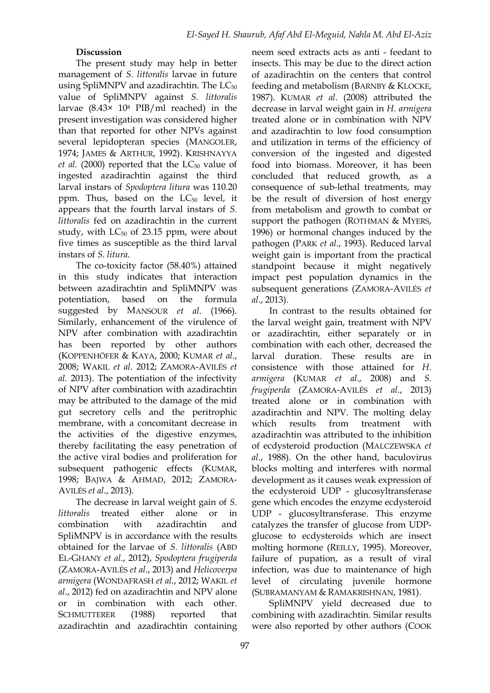### **Discussion**

The present study may help in better management of *S. littoralis* larvae in future using SpliMNPV and azadirachtin. The  $LC_{50}$ value of SpliMNPV against *S. littoralis*  larvae (8.43× 108 PIB/ml reached) in the present investigation was considered higher than that reported for other NPVs against several lepidopteran species (MANGOLER, 1974; JAMES & ARTHUR, 1992). KRISHNAYYA *et al.* (2000) reported that the LC<sub>50</sub> value of ingested azadirachtin against the third larval instars of *Spodoptera litura* was 110.20 ppm. Thus, based on the  $LC_{50}$  level, it appears that the fourth larval instars of *S. littoralis* fed on azadirachtin in the current study, with  $LC_{50}$  of 23.15 ppm, were about five times as susceptible as the third larval instars of *S. litura*.

The co-toxicity factor (58.40%) attained in this study indicates that interaction between azadirachtin and SpliMNPV was potentiation, based on the formula suggested by MANSOUR *et al*. (1966). Similarly, enhancement of the virulence of NPV after combination with azadirachtin has been reported by other authors (KOPPENHÖFER & KAYA, 2000; KUMAR *et al*., 2008; WAKIL *et al*. 2012; ZAMORA-AVILÉS *et al.* 2013). The potentiation of the infectivity of NPV after combination with azadirachtin may be attributed to the damage of the mid gut secretory cells and the peritrophic membrane, with a concomitant decrease in the activities of the digestive enzymes, thereby facilitating the easy penetration of the active viral bodies and proliferation for subsequent pathogenic effects (KUMAR, 1998; BAJWA & AHMAD, 2012; ZAMORA-AVILÉS *et al*., 2013).

The decrease in larval weight gain of *S. littoralis* treated either alone or in combination with azadirachtin and SpliMNPV is in accordance with the results obtained for the larvae of *S. littoralis* (ABD EL-GHANY *et al*., 2012), *Spodoptera frugiperda* (ZAMORA-AVILÉS *et al*., 2013) and *Helicoverpa armigera* (WONDAFRASH *et al*., 2012; WAKIL *et al*., 2012) fed on azadirachtin and NPV alone or in combination with each other. SCHMUTTERER (1988) reported that azadirachtin and azadirachtin containing neem seed extracts acts as anti - feedant to insects. This may be due to the direct action of azadirachtin on the centers that control feeding and metabolism (BARNBY & KLOCKE, 1987). KUMAR *et al*. (2008) attributed the decrease in larval weight gain in *H*. *armigera* treated alone or in combination with NPV and azadirachtin to low food consumption and utilization in terms of the efficiency of conversion of the ingested and digested food into biomass. Moreover, it has been concluded that reduced growth, as a consequence of sub-lethal treatments, may be the result of diversion of host energy from metabolism and growth to combat or support the pathogen (ROTHMAN & MYERS, 1996) or hormonal changes induced by the pathogen (PARK *et al*., 1993). Reduced larval weight gain is important from the practical standpoint because it might negatively impact pest population dynamics in the subsequent generations (ZAMORA-AVILÉS *et al*., 2013).

In contrast to the results obtained for the larval weight gain, treatment with NPV or azadirachtin, either separately or in combination with each other, decreased the larval duration. These results are in consistence with those attained for *H. armigera* (KUMAR *et al*., 2008) and *S. frugiperda* (ZAMORA-AVILÉS *et al*., 2013) treated alone or in combination with azadirachtin and NPV. The molting delay which results from treatment with azadirachtin was attributed to the inhibition of ecdysteroid production (MALCZEWSKA *et al*., 1988). On the other hand, baculovirus blocks molting and interferes with normal development as it causes weak expression of the ecdysteroid UDP - glucosyltransferase gene which encodes the enzyme ecdysteroid UDP - glucosyltransferase. This enzyme catalyzes the transfer of glucose from UDPglucose to ecdysteroids which are insect molting hormone (REILLY, 1995). Moreover, failure of pupation, as a result of viral infection, was due to maintenance of high level of circulating juvenile hormone (SUBRAMANYAM & RAMAKRISHNAN, 1981).

SpliMNPV yield decreased due to combining with azadirachtin. Similar results were also reported by other authors (COOK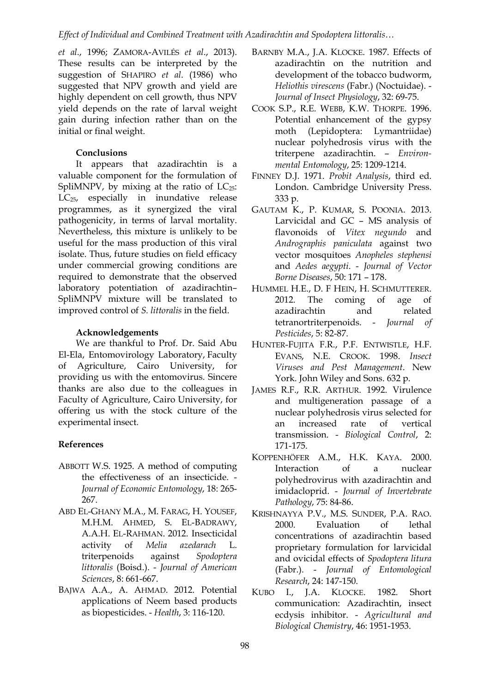*et al*., 1996; ZAMORA-AVILÉS *et al*., 2013). These results can be interpreted by the suggestion of SHAPIRO *et al*. (1986) who suggested that NPV growth and yield are highly dependent on cell growth, thus NPV yield depends on the rate of larval weight gain during infection rather than on the initial or final weight.

#### **Conclusions**

It appears that azadirachtin is a valuable component for the formulation of SpliMNPV, by mixing at the ratio of  $LC_{25}$ : LC25, especially in inundative release programmes, as it synergized the viral pathogenicity, in terms of larval mortality. Nevertheless, this mixture is unlikely to be useful for the mass production of this viral isolate. Thus, future studies on field efficacy under commercial growing conditions are required to demonstrate that the observed laboratory potentiation of azadirachtin– SpliMNPV mixture will be translated to improved control of *S. littoralis* in the field.

#### **Acknowledgements**

We are thankful to Prof. Dr. Said Abu El-Ela, Entomovirology Laboratory, Faculty of Agriculture, Cairo University, for providing us with the entomovirus. Sincere thanks are also due to the colleagues in Faculty of Agriculture, Cairo University, for offering us with the stock culture of the experimental insect.

#### **References**

- ABBOTT W.S. 1925. A method of computing the effectiveness of an insecticide. - *Journal of Economic Entomology*, 18: 265- 267.
- ABD EL-GHANY M.A., M. FARAG, H. YOUSEF, M.H.M. AHMED, S. EL-BADRAWY, A.A.H. EL-RAHMAN. 2012. Insecticidal activity of *Melia azedarach* L. triterpenoids against *Spodoptera littoralis* (Boisd.). - *Journal of American Sciences*, 8: 661-667.
- BAJWA A.A., A. AHMAD. 2012. Potential applications of Neem based products as biopesticides. - *Health*, 3: 116-120.
- BARNBY M.A., I.A. KLOCKE, 1987. Effects of azadirachtin on the nutrition and development of the tobacco budworm, *Heliothis virescens* (Fabr.) (Noctuidae). - *Journal of Insect Physiology*, 32: 69-75.
- COOK S.P., R.E. WEBB, K.W. THORPE. 1996. Potential enhancement of the gypsy moth (Lepidoptera: Lymantriidae) nuclear polyhedrosis virus with the triterpene azadirachtin. – *Environmental Entomology*, 25: 1209-1214.
- FINNEY D.J. 1971. *Probit Analysis*, third ed. London. Cambridge University Press. 333 p.
- GAUTAM K., P. KUMAR, S. POONIA. 2013. Larvicidal and GC – MS analysis of flavonoids of *Vitex negundo* and *Andrographis paniculata* against two vector mosquitoes *Anopheles stephensi* and *Aedes aegypti*. - *Journal of Vector Borne Diseases*, 50: 171 – 178.
- HUMMEL H.E., D. F HEIN, H. SCHMUTTERER. 2012. The coming of age of azadirachtin and related tetranortriterpenoids. - *Journal of Pesticides*, 5: 82-87.
- HUNTER-FUJITA F.R., P.F. ENTWISTLE, H.F. EVANS, N.E. CROOK. 1998. *Insect Viruses and Pest Management*. New York. John Wiley and Sons. 632 p.
- JAMES R.F., R.R. ARTHUR. 1992. Virulence and multigeneration passage of a nuclear polyhedrosis virus selected for an increased rate of vertical transmission. - *Biological Control*, 2: 171-175.
- KOPPENHÖFER A.M., H.K. KAYA. 2000. Interaction of a nuclear polyhedrovirus with azadirachtin and imidacloprid. - *Journal of Invertebrate Pathology*, 75: 84-86.
- KRISHNAYYA P.V., M.S. SUNDER, P.A. RAO. 2000. Evaluation of lethal concentrations of azadirachtin based proprietary formulation for larvicidal and ovicidal effects of *Spodoptera litura* (Fabr.). - *Journal of Entomological Research*, 24: 147-150.
- KUBO I., J.A. KLOCKE. 1982. Short communication: Azadirachtin, insect ecdysis inhibitor. - *Agricultural and Biological Chemistry*, 46: 1951-1953.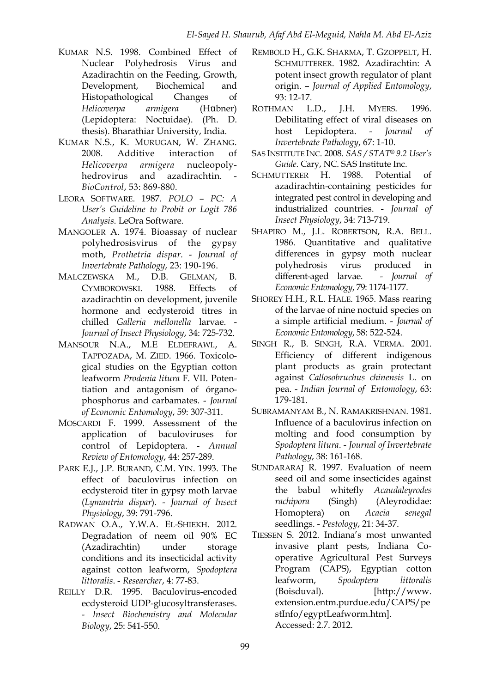- KUMAR N.S. 1998. Combined Effect of Nuclear Polyhedrosis Virus and Azadirachtin on the Feeding, Growth, Development, Biochemical and Histopathological Changes of *Helicoverpa armigera* (Hübner) (Lepidoptera: Noctuidae). (Ph. D. thesis). Bharathiar University, India.
- KUMAR N.S., K. MURUGAN, W. ZHANG. 2008. Additive interaction of *Helicoverpa armigera* nucleopolyhedrovirus and azadirachtin. *BioControl*, 53: 869-880.
- LEORA SOFTWARE. 1987. *POLO – PC: A User's Guideline to Probit or Logit 786 Analysis*. LeOra Software.
- MANGOLER A. 1974. Bioassay of nuclear polyhedrosisvirus of the gypsy moth, *Prothetria dispar*. - *Journal of Invertebrate Pathology*, 23: 190-196.
- MALCZEWSKA M., D.B. GELMAN, B. CYMBOROWSKI. 1988. Effects of azadirachtin on development, juvenile hormone and ecdysteroid titres in chilled *Galleria mellonella* larvae. - *Journal of Insect Physiology*, 34: 725-732.
- MANSOUR N.A., M.E ELDEFRAWI., A. TAPPOZADA, M. ZIED. 1966. Toxicological studies on the Egyptian cotton leafworm *Prodenia litura* F. VII. Potentiation and antagonism of órganophosphorus and carbamates. - *Journal of Economic Entomology*, 59: 307-311.
- MOSCARDI F. 1999. Assessment of the application of baculoviruses for control of Lepidoptera. - *Annual Review of Entomology*, 44: 257-289.
- PARK E.J., J.P. BURAND, C.M. YIN. 1993. The effect of baculovirus infection on ecdysteroid titer in gypsy moth larvae (*Lymantria dispar*). - *Journal of Insect Physiology*, 39: 791-796.
- RADWAN O.A., Y.W.A. EL-SHIEKH. 2012. Degradation of neem oil 90% EC (Azadirachtin) under storage conditions and its insecticidal activity against cotton leafworm, *Spodoptera littoralis*. - *Researcher*, 4: 77-83.
- REILLY D.R. 1995. Baculovirus-encoded ecdysteroid UDP-glucosyltransferases. - *Insect Biochemistry and Molecular Biology*, 25: 541-550.
- REMBOLD H., G.K. SHARMA, T. GZOPPELT, H. SCHMUTTERER. 1982. Azadirachtin: A potent insect growth regulator of plant origin. – *Journal of Applied Entomology*, 93: 12-17.
- ROTHMAN L.D., J.H. MYERS. 1996. Debilitating effect of viral diseases on host Lepidoptera. - *Journal of Invertebrate Pathology*, 67: 1-10.
- SAS INSTITUTE INC. 2008. *SAS / STAT® 9.2 User's Guide*. Cary, NC. SAS Institute Inc.
- SCHMUTTERER H. 1988. Potential of azadirachtin-containing pesticides for integrated pest control in developing and industrialized countries. - *Journal of Insect Physiology*, 34: 713-719.
- SHAPIRO M., J.L. ROBERTSON, R.A. BELL. 1986. Quantitative and qualitative differences in gypsy moth nuclear polyhedrosis virus produced in different-aged larvae. - *Journal of Economic Entomology*, 79: 1174-1177.
- SHOREY H.H., R.L. HALE. 1965. Mass rearing of the larvae of nine noctuid species on a simple artificial medium. - *Journal of Economic Entomology*, 58: 522-524.
- SINGH R., B. SINGH, R.A. VERMA. 2001. Efficiency of different indigenous plant products as grain protectant against *Callosobruchus chinensis* L. on pea. - *Indian Journal of Entomology*, 63: 179-181.
- SUBRAMANYAM B., N. RAMAKRISHNAN. 1981. Influence of a baculovirus infection on molting and food consumption by *Spodoptera litura*. - *Journal of Invertebrate Pathology*, 38: 161-168.
- SUNDARARAJ R. 1997. Evaluation of neem seed oil and some insecticides against the babul whitefly *Acaudaleyrodes rachipora* (Singh) (Aleyrodidae: Homoptera) on *Acacia senegal*  seedlings. - *Pestology*, 21: 34-37.
- TIESSEN S. 2012. Indiana's most unwanted invasive plant pests, Indiana Cooperative Agricultural Pest Surveys Program (CAPS), Egyptian cotton leafworm, *Spodoptera littoralis* (Boisduval). [http://www. extension.entm.purdue.edu/CAPS/pe stInfo/egyptLeafworm.htm]. Accessed: 2.7. 2012.